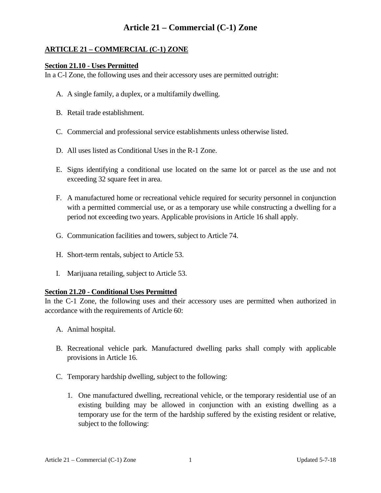## **ARTICLE 21 – COMMERCIAL (C-1) ZONE**

#### **Section 21.10 - Uses Permitted**

In a C-l Zone, the following uses and their accessory uses are permitted outright:

- A. A single family, a duplex, or a multifamily dwelling.
- B. Retail trade establishment.
- C. Commercial and professional service establishments unless otherwise listed.
- D. All uses listed as Conditional Uses in the R-1 Zone.
- E. Signs identifying a conditional use located on the same lot or parcel as the use and not exceeding 32 square feet in area.
- F. A manufactured home or recreational vehicle required for security personnel in conjunction with a permitted commercial use, or as a temporary use while constructing a dwelling for a period not exceeding two years. Applicable provisions in Article 16 shall apply.
- G. Communication facilities and towers, subject to Article 74.
- H. Short-term rentals, subject to Article 53.
- I. Marijuana retailing, subject to Article 53.

#### **Section 21.20 - Conditional Uses Permitted**

In the C-1 Zone, the following uses and their accessory uses are permitted when authorized in accordance with the requirements of Article 60:

- A. Animal hospital.
- B. Recreational vehicle park. Manufactured dwelling parks shall comply with applicable provisions in Article 16.
- C. Temporary hardship dwelling, subject to the following:
	- 1. One manufactured dwelling, recreational vehicle, or the temporary residential use of an existing building may be allowed in conjunction with an existing dwelling as a temporary use for the term of the hardship suffered by the existing resident or relative, subject to the following: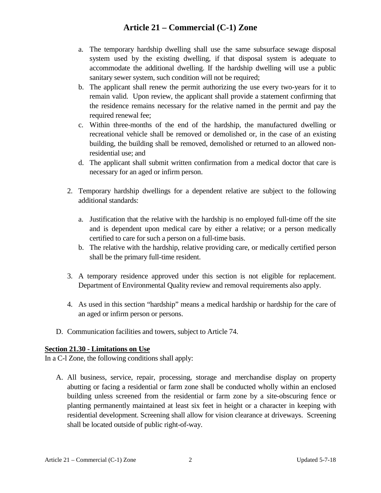- a. The temporary hardship dwelling shall use the same subsurface sewage disposal system used by the existing dwelling, if that disposal system is adequate to accommodate the additional dwelling. If the hardship dwelling will use a public sanitary sewer system, such condition will not be required;
- b. The applicant shall renew the permit authorizing the use every two-years for it to remain valid. Upon review, the applicant shall provide a statement confirming that the residence remains necessary for the relative named in the permit and pay the required renewal fee;
- c. Within three-months of the end of the hardship, the manufactured dwelling or recreational vehicle shall be removed or demolished or, in the case of an existing building, the building shall be removed, demolished or returned to an allowed nonresidential use; and
- d. The applicant shall submit written confirmation from a medical doctor that care is necessary for an aged or infirm person.
- 2. Temporary hardship dwellings for a dependent relative are subject to the following additional standards:
	- a. Justification that the relative with the hardship is no employed full-time off the site and is dependent upon medical care by either a relative; or a person medically certified to care for such a person on a full-time basis.
	- b. The relative with the hardship, relative providing care, or medically certified person shall be the primary full-time resident.
- 3. A temporary residence approved under this section is not eligible for replacement. Department of Environmental Quality review and removal requirements also apply.
- 4. As used in this section "hardship" means a medical hardship or hardship for the care of an aged or infirm person or persons.
- D. Communication facilities and towers, subject to Article 74.

### **Section 21.30 - Limitations on Use**

In a C-l Zone, the following conditions shall apply:

A. All business, service, repair, processing, storage and merchandise display on property abutting or facing a residential or farm zone shall be conducted wholly within an enclosed building unless screened from the residential or farm zone by a site-obscuring fence or planting permanently maintained at least six feet in height or a character in keeping with residential development. Screening shall allow for vision clearance at driveways. Screening shall be located outside of public right-of-way.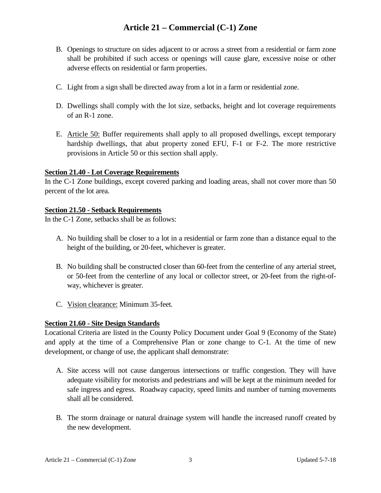- B. Openings to structure on sides adjacent to or across a street from a residential or farm zone shall be prohibited if such access or openings will cause glare, excessive noise or other adverse effects on residential or farm properties.
- C. Light from a sign shall be directed away from a lot in a farm or residential zone.
- D. Dwellings shall comply with the lot size, setbacks, height and lot coverage requirements of an R-1 zone.
- E. Article 50: Buffer requirements shall apply to all proposed dwellings, except temporary hardship dwellings, that abut property zoned EFU, F-1 or F-2. The more restrictive provisions in Article 50 or this section shall apply.

### **Section 21.40 - Lot Coverage Requirements**

In the C-1 Zone buildings, except covered parking and loading areas, shall not cover more than 50 percent of the lot area.

### **Section 21.50 - Setback Requirements**

In the C-1 Zone, setbacks shall be as follows:

- A. No building shall be closer to a lot in a residential or farm zone than a distance equal to the height of the building, or 20-feet, whichever is greater.
- B. No building shall be constructed closer than 60-feet from the centerline of any arterial street, or 50-feet from the centerline of any local or collector street, or 20-feet from the right-ofway, whichever is greater.
- C. Vision clearance: Minimum 35-feet.

### **Section 21.60 - Site Design Standards**

Locational Criteria are listed in the County Policy Document under Goal 9 (Economy of the State) and apply at the time of a Comprehensive Plan or zone change to C-1. At the time of new development, or change of use, the applicant shall demonstrate:

- A. Site access will not cause dangerous intersections or traffic congestion. They will have adequate visibility for motorists and pedestrians and will be kept at the minimum needed for safe ingress and egress. Roadway capacity, speed limits and number of turning movements shall all be considered.
- B. The storm drainage or natural drainage system will handle the increased runoff created by the new development.